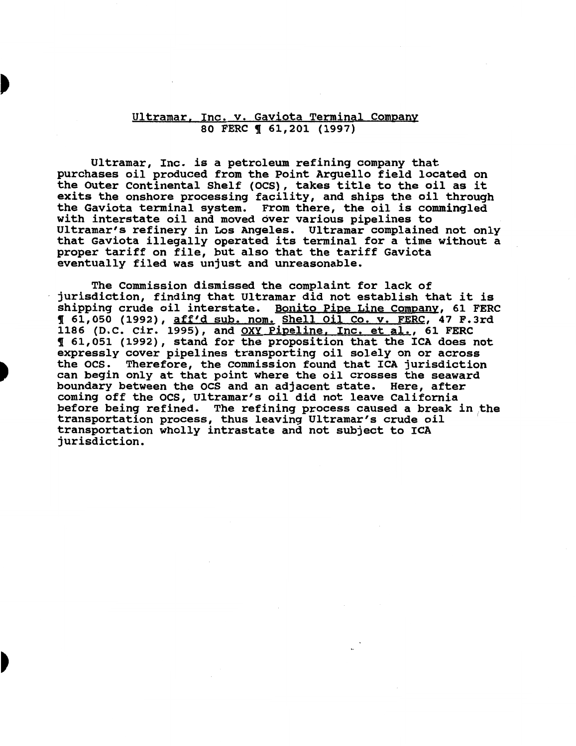### Ultramar. Inc. v. Gaviota Terminal Company 80 FERC ¶ 61,201 (1997)

Ultramar, Inc. is a petroleum refining company that purchases oil produced from the Point Arguello field located on the Outer Continental Shelf (OCS), takes title to the oil as it exits the onshore processing facility, and ships the oil through the Gaviota terminal system. From there, the oil is commingled with interstate oil and moved over various pipelines to Ultramar's refinery in Los Angeles. Ultramar complained not only that Gaviota illegally operated its terminal for a time without a proper tariff on file, but also that the tariff Gaviota eventually filed was unjust and unreasonable.

The Commission dismissed the complaint for lack of jurisdiction, finding that Ultramar did not establish that it is shipping crude oil interstate. Bonito Pipe Line Company, 61 FERC ! 61,050 (1992), aff'd sub. nom. Shell Oil Co. v. FERC, 47 F.Jrd 1186 (D.C. Cir. 1995), and OXY Pipeline, Inc. et al., 61 FERC ! 61,051 (1992), stand for the proposition that the ICA does not expressly cover pipelines transporting oil solely on or across the OCS. Therefore, the Commission found that ICA jurisdiction can begin only at that point where the oil crosses the seaward boundary between the ocs and an adjacent state. Here, after coming off the OCS, Ultramar's oil did not leave California before being refined. The refining process caused a break in the ectore seing refined. The refining process caused a sreak in transportation process, thus leaving Ultramar's crude oil<br>transportation wholly intrastate and not subject to ICA transportation wholly intrastate and not subject to ICA jurisdiction.

D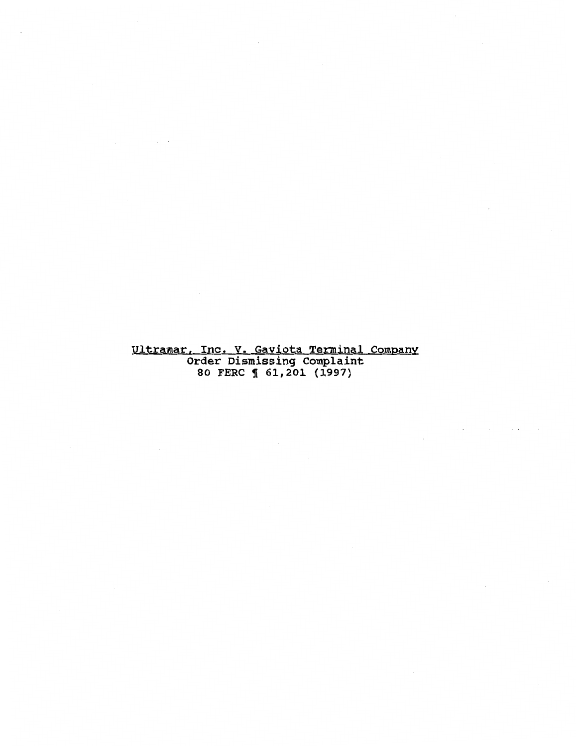## Ultramar. Inc. v. Gaviota Terminal Company Order Dismissing Complaint 80 FERC 1 61,201 (1997)

 $\sim 10^{11}$  km  $^{-1}$ 

 $\mathbf{r}$ 

 $\sim$   $\sim$ 

 $\sim$  .

 $\sim$ 

 $\mathbf{r}$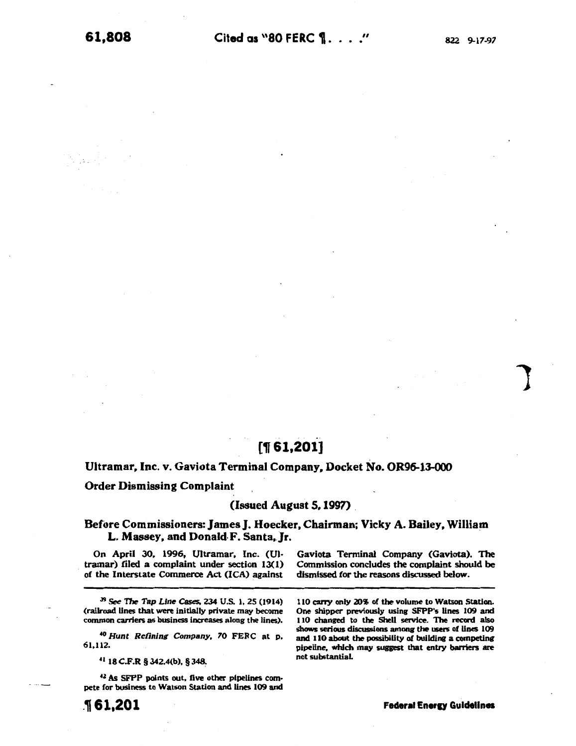1

# $[$  1,201]

#### Ultramar, Inc. v. Gaviota Terminal Company, Docket No. OR96-13-000

### Order Dismissing Complaint

#### $(Isused$  August 5. 1997)

## Before Commissioners: James J. Hoecker. Chairman; Vicky A. Bailey. William L. Massey, and Donald F. Santa. Jr.

On April 30, 1996, Ultramar, Inc. (Ultramar) filed a complaint under section 13(1) of the Interstate Commerce Act (ICA) against

J9 *See* 17Je *Tap Line* Cases. 234 U.S. 1. 25 (1914) (railroad Unes that were initially private may become common carriers as business increases along the lines).

<sup>40</sup>*Hunt Refining Company,* 70 FERC at p. 61,112.

*•a* 18 C.F.R § 342.4(b), § 348~

<sup>42</sup> As SFPP points out, five other pipelines compete for business to Watson Station and lines 109 and

Gaviota Terminal Company (Gaviota). The Commission concludes the complaint should be dismissed for the reasons discussed below.

110 carry only 20\5 of the volume to Watson Station. One shipper previously using SFPP's lines 109 and 110 changed to the Shell service. The record also shows serious discussions among the users of lines 109 and 110 about the possibility of building a competing pipeline, which may suggest that entry barriers are not substantiaL

.161,201

**Federal Energy Guidelines**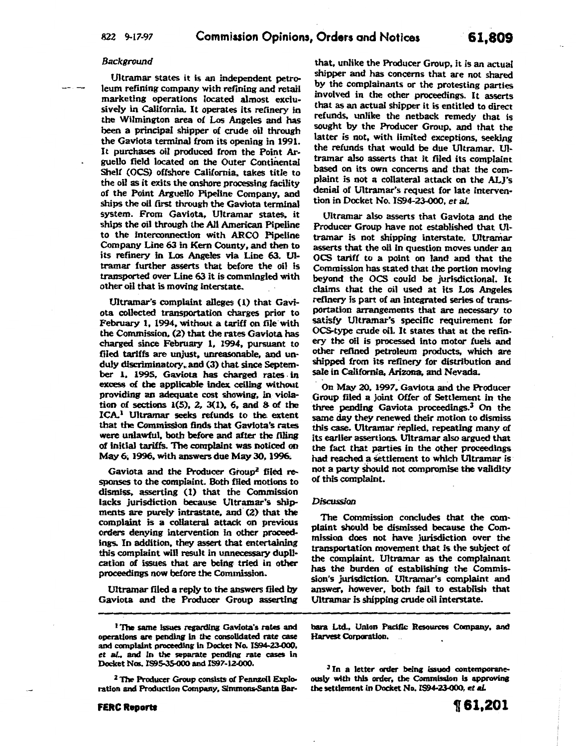#### Background

Ultramar states it is an independent petroleum refining company with refining and retail marketing operations located almost exclusively in California. It operates its refinery in the Wilmington area of Los Angeles and has been a principal shipper of crude oil through the Gaviota terminal from its opening in 1991. It purchases oil produced from the Point Arguello field located on the Outer Continental Shelf (OCS) offshore California, takes title to the oil as it exits the onshore processing facility of the Point Arguello Pipeline Company, and ships the oil first through the Gaviota terminal system. From Gaviota. Ultramar states. it ships the oil through the All American Pipeline to the interconnection with ARCO Pipeline Company Line 63 in Kern County. and then to its refinery in Los Angeles via Line 63. Ultramar further asserts that before the oil is transported over Line 63 it is commingled with other oil that is moving interstate.

Ultramar's complaint alleges ( l) that Gaviota collected transportation charges prior to February 1, 1994, without a tariff on file with the Commission. (2) that the rates Gaviota has charged since February 1, 1994. pursuant to filed tariffs are unjust. unreasonable. and unduly discriminatory, and (3) that since September 1. 1995, Gaviota has charged rates. in excess of the applicable index ceiling without providing an adequate cost showing. in. violation of sections  $1(5)$ ,  $2$ ,  $3(1)$ ,  $6$ , and  $8$  of the ICA.1 Ultramar seeks refunds to the extent that the Commission finds that Gaviota's rates were unlawful. both before and after the filing of initial tariffs. The complaint was noticed on May 6, 1996, with answers due May 30, 1996.

Gaviota and the Producer Group<sup>2</sup> filed responses to the complaint. Both filed motions to dismiss, asserting (1) that the Commission lacks jurisdiction because Ultramar's shipments are purely intrastate, and (2) that the complaint is a collateral attack on previous orders denying intervention in other proceedings. In addition. they assert that entertaining this complaint will result in unnecessary duplication of issues that are being, tried in other proceedings now before the Commission.

Ultramar filed a reply to the answers filed by Gaviota and the Producer Group asserting

<sup>2</sup> The Producer Group consists of Pennzoil Exploration and Production Company, Simmons-Santa Bar-

that, unlike the Producer Group, it is an actual shipper and has concerns that are not shared by the complainants or the protesting parties involved in the other proceedings. It asserts that as an actual shipper it is entitled to direct refunds, unlike the netback remedy that is sought by the Producer Group, and that the latter is not, with limited exceptions, seeking the refunds that would be due Ultramar. Ultramar also asserts that it filed its complaint based on its own concerns and that the complaint is not a collateral attack on the ALJ's denial of Ultramar's request for late intervention in Docket No. 1594-23-000, et al.

Ultramar also asserts that Gaviota and the Producer Group have not established that Ultramar is not shipping interstate. Ultraniar asserts that the oil in question moves under an OCS tariff to a point on land and that the Commission has stated that the portion moving beyond the OCS could be jurisdictional. It claims that the oil used at its Los Angeles refinery is part of an integrated series of transportation arrangements that are necessary to satisfy Ultramar's specific requirement for. OCS-type crude oil. It states that at the refinery the oil is processed into motor fuels and other refined petroleum products, which are shipped from its refinery for distribution and sale in California. Arizona. and Nevada.

. On May 20, 1997. Gaviota and the Producer Group filed a joint Offer of Settlement in the three pending Gaviota proceedings.3 On the same day they renewed their motion to dismiss this case. Ultramar replied. repeating many of its earlier assertions. Ultramar also argued that the fact that parties in the other proceedings had reached a settlement to which Ultramar is. not a party should not compromise the validity of this complaint.

#### *Discussion*

The Commission concludes that the complaint should be dismissed because the Commission does not have jurisdiction over the transportation movement that is the subject of the complaint. Ultramar as the complainant has the burden of establishing the Commission's jurisdiction. Ultramar's complaint and answer, however, both fail to establish that Ultramar is shipping crude oil interstate.

bara Ltd., Union Pacific Resources Company, and Harvest Corporation.  $\ddot{\phantom{a}}$ 

<sup>3</sup> In a letter order being issued contemporaneously with this order, the Commission is approving the settlement in Docket No. IS94-23-000, et al.

<sup>&</sup>lt;sup>1</sup> The same issues regarding Gaviota's rates and operations are pending in the consolidated rate case and complaint proceeding in Docket No. IS94-2J.OOO, *et* al., and in the separate pending rate cases in Docket Nos. IS95-35-000 and IS97-12-000.